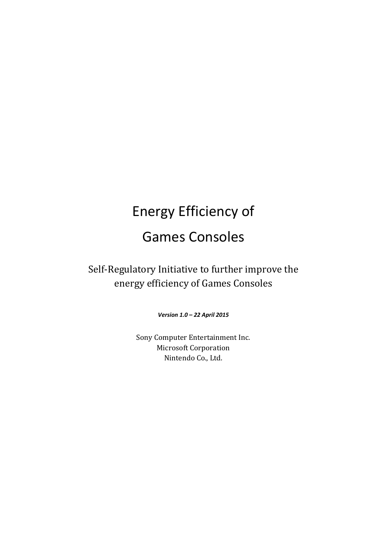# Energy Efficiency of Games Consoles

Self-Regulatory Initiative to further improve the energy efficiency of Games Consoles

*Version 1.0 – 22 April 2015*

Sony Computer Entertainment Inc. Microsoft Corporation Nintendo Co., Ltd.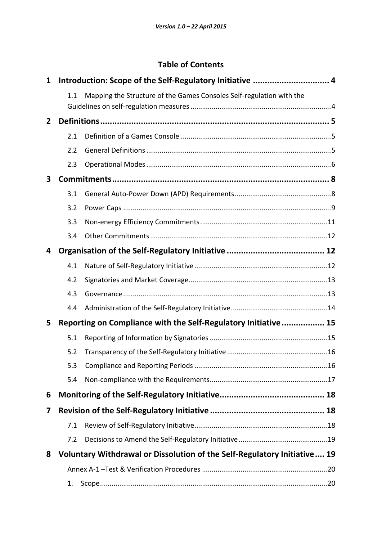# **Table of Contents**

| 1            |     | Introduction: Scope of the Self-Regulatory Initiative  4                 |  |
|--------------|-----|--------------------------------------------------------------------------|--|
|              | 1.1 | Mapping the Structure of the Games Consoles Self-regulation with the     |  |
|              |     |                                                                          |  |
| $\mathbf{2}$ |     |                                                                          |  |
|              | 2.1 |                                                                          |  |
|              | 2.2 |                                                                          |  |
|              | 2.3 |                                                                          |  |
| 3            |     |                                                                          |  |
|              | 3.1 |                                                                          |  |
|              | 3.2 |                                                                          |  |
|              | 3.3 |                                                                          |  |
|              | 3.4 |                                                                          |  |
| 4            |     |                                                                          |  |
|              | 4.1 |                                                                          |  |
|              | 4.2 |                                                                          |  |
|              | 4.3 |                                                                          |  |
|              | 4.4 |                                                                          |  |
| 5            |     | Reporting on Compliance with the Self-Regulatory Initiative 15           |  |
|              | 5.1 |                                                                          |  |
|              | 5.2 |                                                                          |  |
|              | 5.3 |                                                                          |  |
|              | 5.4 |                                                                          |  |
| 6            |     |                                                                          |  |
| 7            |     |                                                                          |  |
|              | 7.1 |                                                                          |  |
|              | 7.2 |                                                                          |  |
| 8            |     | Voluntary Withdrawal or Dissolution of the Self-Regulatory Initiative 19 |  |
|              |     |                                                                          |  |
|              | 1.  |                                                                          |  |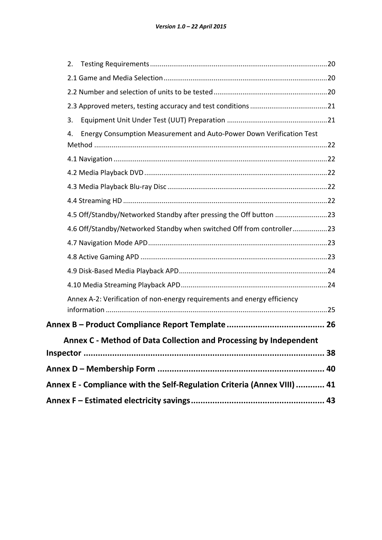| 2.                                                                         |  |
|----------------------------------------------------------------------------|--|
|                                                                            |  |
|                                                                            |  |
|                                                                            |  |
| 3.                                                                         |  |
| Energy Consumption Measurement and Auto-Power Down Verification Test<br>4. |  |
|                                                                            |  |
|                                                                            |  |
|                                                                            |  |
|                                                                            |  |
| 4.5 Off/Standby/Networked Standby after pressing the Off button 23         |  |
| 4.6 Off/Standby/Networked Standby when switched Off from controller23      |  |
|                                                                            |  |
|                                                                            |  |
|                                                                            |  |
|                                                                            |  |
| Annex A-2: Verification of non-energy requirements and energy efficiency   |  |
|                                                                            |  |
| Annex C - Method of Data Collection and Processing by Independent          |  |
|                                                                            |  |
|                                                                            |  |
| Annex E - Compliance with the Self-Regulation Criteria (Annex VIII)  41    |  |
|                                                                            |  |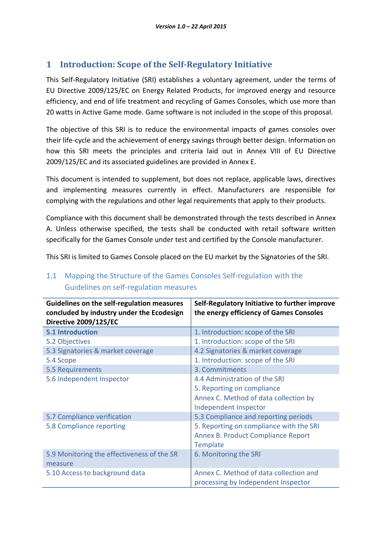# **1 Introduction: Scope of the Self-Regulatory Initiative**

This Self-Regulatory Initiative (SRI) establishes a voluntary agreement, under the terms of EU Directive 2009/125/EC on Energy Related Products, for improved energy and resource efficiency, and end of life treatment and recycling of Games Consoles, which use more than 20 watts in Active Game mode. Game software is not included in the scope of this proposal.

The objective of this SRI is to reduce the environmental impacts of games consoles over their life-cycle and the achievement of energy savings through better design. Information on how this SRI meets the principles and criteria laid out in Annex VIII of EU Directive 2009/125/EC and its associated guidelines are provided in Annex E.

This document is intended to supplement, but does not replace, applicable laws, directives and implementing measures currently in effect. Manufacturers are responsible for complying with the regulations and other legal requirements that apply to their products.

Compliance with this document shall be demonstrated through the tests described in Annex A. Unless otherwise specified, the tests shall be conducted with retail software written specifically for the Games Console under test and certified by the Console manufacturer.

This SRI is limited to Games Console placed on the EU market by the Signatories of the SRI.

# 1.1 Mapping the Structure of the Games Consoles Self-regulation with the Guidelines on self-regulation measures

| Guidelines on the self-regulation measures<br>concluded by industry under the Ecodesign<br><b>Directive 2009/125/EC</b> | Self-Regulatory Initiative to further improve<br>the energy efficiency of Games Consoles |
|-------------------------------------------------------------------------------------------------------------------------|------------------------------------------------------------------------------------------|
| <b>5.1 Introduction</b>                                                                                                 | 1. Introduction: scope of the SRI                                                        |
| 5.2 Objectives                                                                                                          | 1. Introduction: scope of the SRI                                                        |
| 5.3 Signatories & market coverage                                                                                       | 4.2 Signatories & market coverage                                                        |
| 5.4 Scope                                                                                                               | 1. Introduction: scope of the SRI                                                        |
| 5.5 Requirements                                                                                                        | 3. Commitments                                                                           |
| 5.6 Independent Inspector                                                                                               | 4.4 Administration of the SRI                                                            |
|                                                                                                                         | 5. Reporting on compliance                                                               |
|                                                                                                                         | Annex C. Method of data collection by                                                    |
|                                                                                                                         | Independent Inspector                                                                    |
| 5.7 Compliance verification                                                                                             | 5.3 Compliance and reporting periods                                                     |
| 5.8 Compliance reporting                                                                                                | 5. Reporting on compliance with the SRI                                                  |
|                                                                                                                         | Annex B. Product Compliance Report                                                       |
|                                                                                                                         | Template                                                                                 |
| 5.9 Monitoring the effectiveness of the SR                                                                              | 6. Monitoring the SRI                                                                    |
| measure                                                                                                                 |                                                                                          |
| 5.10 Access to background data                                                                                          | Annex C. Method of data collection and                                                   |
|                                                                                                                         | processing by Independent Inspector                                                      |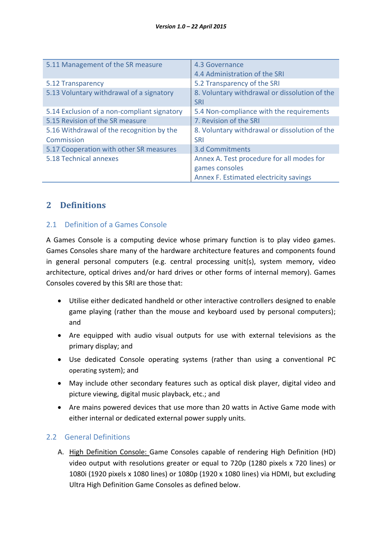| 5.11 Management of the SR measure           | 4.3 Governance                                |
|---------------------------------------------|-----------------------------------------------|
|                                             | 4.4 Administration of the SRI                 |
| 5.12 Transparency                           | 5.2 Transparency of the SRI                   |
| 5.13 Voluntary withdrawal of a signatory    | 8. Voluntary withdrawal or dissolution of the |
|                                             | <b>SRI</b>                                    |
| 5.14 Exclusion of a non-compliant signatory | 5.4 Non-compliance with the requirements      |
| 5.15 Revision of the SR measure             | 7. Revision of the SRI                        |
| 5.16 Withdrawal of the recognition by the   | 8. Voluntary withdrawal or dissolution of the |
| Commission                                  | <b>SRI</b>                                    |
| 5.17 Cooperation with other SR measures     | 3.d Commitments                               |
| 5.18 Technical annexes                      | Annex A. Test procedure for all modes for     |
|                                             | games consoles                                |
|                                             | Annex F. Estimated electricity savings        |

# **2 Definitions**

# 2.1 Definition of a Games Console

A Games Console is a computing device whose primary function is to play video games. Games Consoles share many of the hardware architecture features and components found in general personal computers (e.g. central processing unit(s), system memory, video architecture, optical drives and/or hard drives or other forms of internal memory). Games Consoles covered by this SRI are those that:

- Utilise either dedicated handheld or other interactive controllers designed to enable game playing (rather than the mouse and keyboard used by personal computers); and
- Are equipped with audio visual outputs for use with external televisions as the primary display; and
- Use dedicated Console operating systems (rather than using a conventional PC operating system); and
- May include other secondary features such as optical disk player, digital video and picture viewing, digital music playback, etc.; and
- Are mains powered devices that use more than 20 watts in Active Game mode with either internal or dedicated external power supply units.

# 2.2 General Definitions

A. High Definition Console: Game Consoles capable of rendering High Definition (HD) video output with resolutions greater or equal to 720p (1280 pixels x 720 lines) or 1080i (1920 pixels x 1080 lines) or 1080p (1920 x 1080 lines) via HDMI, but excluding Ultra High Definition Game Consoles as defined below.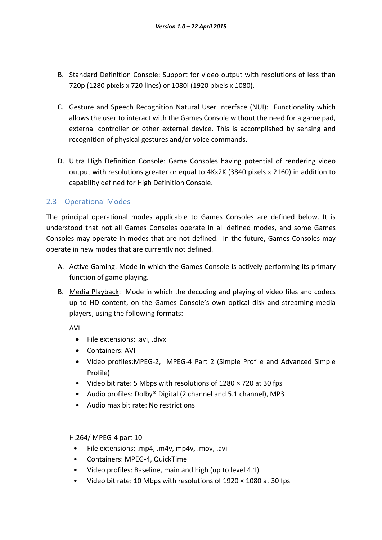- B. Standard Definition Console: Support for video output with resolutions of less than 720p (1280 pixels x 720 lines) or 1080i (1920 pixels x 1080).
- C. Gesture and Speech Recognition Natural User Interface (NUI): Functionality which allows the user to interact with the Games Console without the need for a game pad, external controller or other external device. This is accomplished by sensing and recognition of physical gestures and/or voice commands.
- D. Ultra High Definition Console: Game Consoles having potential of rendering video output with resolutions greater or equal to 4Kx2K (3840 pixels x 2160) in addition to capability defined for High Definition Console.

# 2.3 Operational Modes

The principal operational modes applicable to Games Consoles are defined below. It is understood that not all Games Consoles operate in all defined modes, and some Games Consoles may operate in modes that are not defined. In the future, Games Consoles may operate in new modes that are currently not defined.

- A. Active Gaming: Mode in which the Games Console is actively performing its primary function of game playing.
- B. Media Playback: Mode in which the decoding and playing of video files and codecs up to HD content, on the Games Console's own optical disk and streaming media players, using the following formats:

AVI

- File extensions: .avi, .divx
- Containers: AVI
- Video profiles:MPEG-2, MPEG-4 Part 2 (Simple Profile and Advanced Simple Profile)
- Video bit rate: 5 Mbps with resolutions of 1280 × 720 at 30 fps
- Audio profiles: Dolby® Digital (2 channel and 5.1 channel), MP3
- Audio max bit rate: No restrictions

H.264/ MPEG-4 part 10

- File extensions: .mp4, .m4v, mp4v, .mov, .avi
- Containers: MPEG-4, QuickTime
- Video profiles: Baseline, main and high (up to level 4.1)
- Video bit rate: 10 Mbps with resolutions of  $1920 \times 1080$  at 30 fps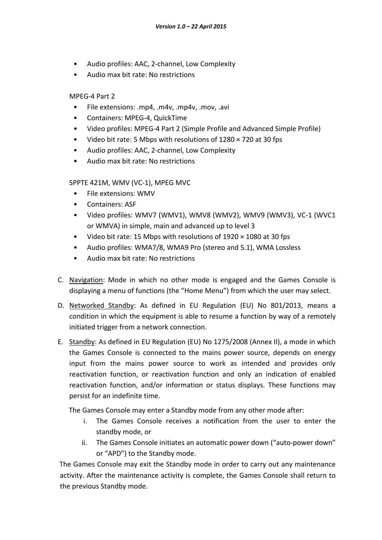- Audio profiles: AAC, 2-channel, Low Complexity
- Audio max bit rate: No restrictions

### MPEG-4 Part 2

- File extensions: .mp4, .m4v, .mp4v, .mov, .avi
- Containers: MPEG-4, QuickTime
- Video profiles: MPEG-4 Part 2 (Simple Profile and Advanced Simple Profile)
- Video bit rate: 5 Mbps with resolutions of 1280 × 720 at 30 fps
- Audio profiles: AAC, 2-channel, Low Complexity
- Audio max bit rate: No restrictions

## SPPTE 421M, WMV (VC-1), MPEG MVC

- File extensions: WMV
- Containers: ASF
- Video profiles: WMV7 (WMV1), WMV8 (WMV2), WMV9 (WMV3), VC-1 (WVC1 or WMVA) in simple, main and advanced up to level 3
- Video bit rate: 15 Mbps with resolutions of 1920 × 1080 at 30 fps
- Audio profiles: WMA7/8, WMA9 Pro (stereo and 5.1), WMA Lossless
- Audio max bit rate: No restrictions
- C. Navigation: Mode in which no other mode is engaged and the Games Console is displaying a menu of functions (the "Home Menu") from which the user may select.
- D. Networked Standby: As defined in EU Regulation (EU) No 801/2013, means a condition in which the equipment is able to resume a function by way of a remotely initiated trigger from a network connection.
- E. Standby: As defined in EU Regulation (EU) No 1275/2008 (Annex II), a mode in which the Games Console is connected to the mains power source, depends on energy input from the mains power source to work as intended and provides only reactivation function, or reactivation function and only an indication of enabled reactivation function, and/or information or status displays. These functions may persist for an indefinite time.

The Games Console may enter a Standby mode from any other mode after:

- i. The Games Console receives a notification from the user to enter the standby mode, or
- ii. The Games Console initiates an automatic power down ("auto-power down" or "APD") to the Standby mode.

The Games Console may exit the Standby mode in order to carry out any maintenance activity. After the maintenance activity is complete, the Games Console shall return to the previous Standby mode.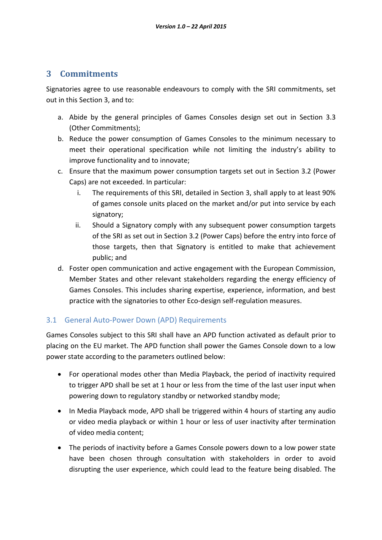# **3 Commitments**

Signatories agree to use reasonable endeavours to comply with the SRI commitments, set out in this Section 3, and to:

- a. Abide by the general principles of Games Consoles design set out in Section 3.3 (Other Commitments);
- b. Reduce the power consumption of Games Consoles to the minimum necessary to meet their operational specification while not limiting the industry's ability to improve functionality and to innovate;
- c. Ensure that the maximum power consumption targets set out in Section 3.2 (Power Caps) are not exceeded. In particular:
	- i. The requirements of this SRI, detailed in Section 3, shall apply to at least 90% of games console units placed on the market and/or put into service by each signatory;
	- ii. Should a Signatory comply with any subsequent power consumption targets of the SRI as set out in Section 3.2 (Power Caps) before the entry into force of those targets, then that Signatory is entitled to make that achievement public; and
- d. Foster open communication and active engagement with the European Commission, Member States and other relevant stakeholders regarding the energy efficiency of Games Consoles. This includes sharing expertise, experience, information, and best practice with the signatories to other Eco-design self-regulation measures.

# 3.1 General Auto-Power Down (APD) Requirements

Games Consoles subject to this SRI shall have an APD function activated as default prior to placing on the EU market. The APD function shall power the Games Console down to a low power state according to the parameters outlined below:

- For operational modes other than Media Playback, the period of inactivity required to trigger APD shall be set at 1 hour or less from the time of the last user input when powering down to regulatory standby or networked standby mode;
- In Media Playback mode, APD shall be triggered within 4 hours of starting any audio or video media playback or within 1 hour or less of user inactivity after termination of video media content;
- The periods of inactivity before a Games Console powers down to a low power state have been chosen through consultation with stakeholders in order to avoid disrupting the user experience, which could lead to the feature being disabled. The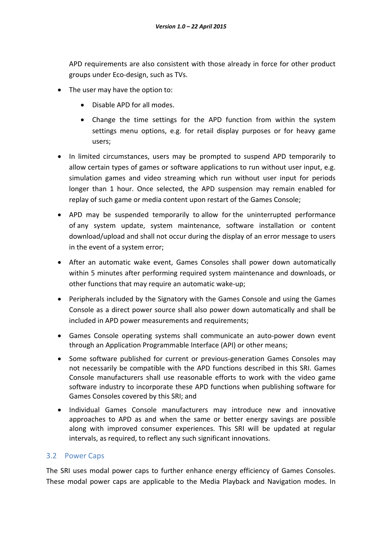APD requirements are also consistent with those already in force for other product groups under Eco-design, such as TVs.

- The user may have the option to:
	- Disable APD for all modes.
	- Change the time settings for the APD function from within the system settings menu options, e.g. for retail display purposes or for heavy game users;
- In limited circumstances, users may be prompted to suspend APD temporarily to allow certain types of games or software applications to run without user input, e.g. simulation games and video streaming which run without user input for periods longer than 1 hour. Once selected, the APD suspension may remain enabled for replay of such game or media content upon restart of the Games Console;
- APD may be suspended temporarily to allow for the uninterrupted performance of any system update, system maintenance, software installation or content download/upload and shall not occur during the display of an error message to users in the event of a system error;
- After an automatic wake event, Games Consoles shall power down automatically within 5 minutes after performing required system maintenance and downloads, or other functions that may require an automatic wake-up;
- Peripherals included by the Signatory with the Games Console and using the Games Console as a direct power source shall also power down automatically and shall be included in APD power measurements and requirements;
- Games Console operating systems shall communicate an auto-power down event through an Application Programmable Interface (API) or other means;
- Some software published for current or previous-generation Games Consoles may not necessarily be compatible with the APD functions described in this SRI. Games Console manufacturers shall use reasonable efforts to work with the video game software industry to incorporate these APD functions when publishing software for Games Consoles covered by this SRI; and
- Individual Games Console manufacturers may introduce new and innovative approaches to APD as and when the same or better energy savings are possible along with improved consumer experiences. This SRI will be updated at regular intervals, as required, to reflect any such significant innovations.

## 3.2 Power Caps

The SRI uses modal power caps to further enhance energy efficiency of Games Consoles. These modal power caps are applicable to the Media Playback and Navigation modes. In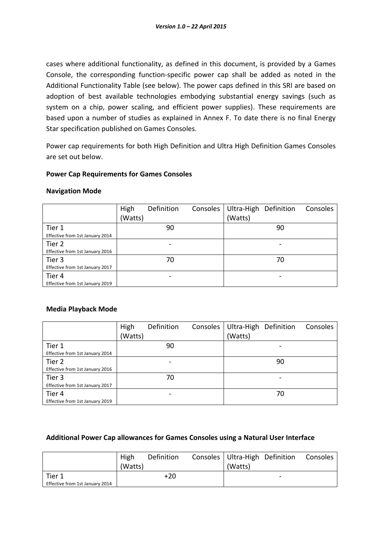cases where additional functionality, as defined in this document, is provided by a Games Console, the corresponding function-specific power cap shall be added as noted in the Additional Functionality Table (see below). The power caps defined in this SRI are based on adoption of best available technologies embodying substantial energy savings (such as system on a chip, power scaling, and efficient power supplies). These requirements are based upon a number of studies as explained in Annex F. To date there is no final Energy Star specification published on Games Consoles.

Power cap requirements for both High Definition and Ultra High Definition Games Consoles are set out below.

#### **Power Cap Requirements for Games Consoles**

#### **Navigation Mode**

|                                 | High    | Definition | Consoles | Ultra-High Definition |    | Consoles |
|---------------------------------|---------|------------|----------|-----------------------|----|----------|
|                                 | (Watts) |            |          | (Watts)               |    |          |
| Tier 1                          |         | 90         |          |                       | 90 |          |
| Effective from 1st January 2014 |         |            |          |                       |    |          |
| Tier 2                          |         |            |          |                       |    |          |
| Effective from 1st January 2016 |         |            |          |                       |    |          |
| Tier 3                          |         | 70         |          |                       | 70 |          |
| Effective from 1st January 2017 |         |            |          |                       |    |          |
| Tier 4                          |         |            |          |                       |    |          |
| Effective from 1st January 2019 |         |            |          |                       |    |          |

#### **Media Playback Mode**

|                                 | High    | Definition | Consoles | Ultra-High Definition |    | Consoles |
|---------------------------------|---------|------------|----------|-----------------------|----|----------|
|                                 | (Watts) |            |          | (Watts)               |    |          |
| Tier 1                          |         | 90         |          |                       |    |          |
| Effective from 1st January 2014 |         |            |          |                       |    |          |
| Tier 2                          |         |            |          |                       | 90 |          |
| Effective from 1st January 2016 |         |            |          |                       |    |          |
| Tier 3                          |         | 70         |          |                       |    |          |
| Effective from 1st January 2017 |         |            |          |                       |    |          |
| Tier 4                          |         |            |          |                       | 70 |          |
| Effective from 1st January 2019 |         |            |          |                       |    |          |

#### **Additional Power Cap allowances for Games Consoles using a Natural User Interface**

|                                 | High<br>(Watts) | Definition | Consoles   Ultra-High Definition<br>(Watts) |                          | Consoles |
|---------------------------------|-----------------|------------|---------------------------------------------|--------------------------|----------|
| Tier 1                          |                 | +20        |                                             | $\overline{\phantom{0}}$ |          |
| Effective from 1st January 2014 |                 |            |                                             |                          |          |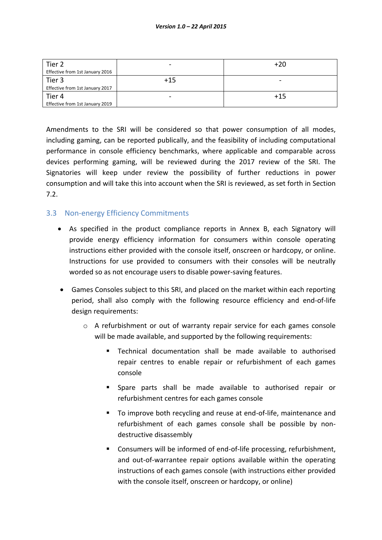| Tier 2                          | $\overline{\phantom{a}}$ | $+20$                    |
|---------------------------------|--------------------------|--------------------------|
| Effective from 1st January 2016 |                          |                          |
| Tier 3                          | $+15$                    | $\overline{\phantom{0}}$ |
| Effective from 1st January 2017 |                          |                          |
| Tier 4                          |                          | $+15$                    |
| Effective from 1st January 2019 |                          |                          |

Amendments to the SRI will be considered so that power consumption of all modes, including gaming, can be reported publically, and the feasibility of including computational performance in console efficiency benchmarks, where applicable and comparable across devices performing gaming, will be reviewed during the 2017 review of the SRI. The Signatories will keep under review the possibility of further reductions in power consumption and will take this into account when the SRI is reviewed, as set forth in Section 7.2.

# 3.3 Non-energy Efficiency Commitments

- As specified in the product compliance reports in Annex B, each Signatory will provide energy efficiency information for consumers within console operating instructions either provided with the console itself, onscreen or hardcopy, or online. Instructions for use provided to consumers with their consoles will be neutrally worded so as not encourage users to disable power-saving features.
- Games Consoles subject to this SRI, and placed on the market within each reporting period, shall also comply with the following resource efficiency and end-of-life design requirements:
	- o A refurbishment or out of warranty repair service for each games console will be made available, and supported by the following requirements:
		- Technical documentation shall be made available to authorised repair centres to enable repair or refurbishment of each games console
		- Spare parts shall be made available to authorised repair or refurbishment centres for each games console
		- To improve both recycling and reuse at end-of-life, maintenance and refurbishment of each games console shall be possible by nondestructive disassembly
		- Consumers will be informed of end-of-life processing, refurbishment, and out-of-warrantee repair options available within the operating instructions of each games console (with instructions either provided with the console itself, onscreen or hardcopy, or online)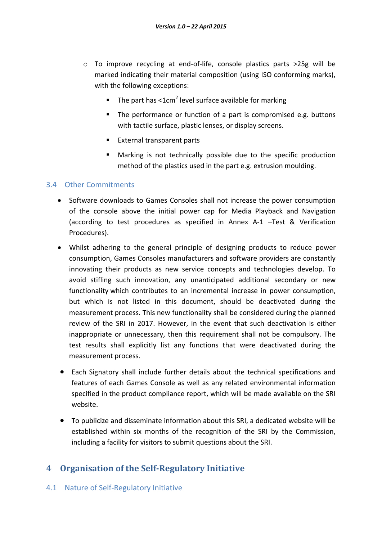- o To improve recycling at end-of-life, console plastics parts >25g will be marked indicating their material composition (using ISO conforming marks), with the following exceptions:
	- $\blacksquare$  The part has <1cm<sup>2</sup> level surface available for marking
	- The performance or function of a part is compromised e.g. buttons with tactile surface, plastic lenses, or display screens.
	- **External transparent parts**
	- Marking is not technically possible due to the specific production method of the plastics used in the part e.g. extrusion moulding.

# 3.4 Other Commitments

- Software downloads to Games Consoles shall not increase the power consumption of the console above the initial power cap for Media Playback and Navigation (according to test procedures as specified in Annex A-1 –[Test & Verification](#page-19-0)  [Procedures\)](#page-19-0).
- Whilst adhering to the general principle of designing products to reduce power consumption, Games Consoles manufacturers and software providers are constantly innovating their products as new service concepts and technologies develop. To avoid stifling such innovation, any unanticipated additional secondary or new functionality which contributes to an incremental increase in power consumption, but which is not listed in this document, should be deactivated during the measurement process. This new functionality shall be considered during the planned review of the SRI in 2017. However, in the event that such deactivation is either inappropriate or unnecessary, then this requirement shall not be compulsory. The test results shall explicitly list any functions that were deactivated during the measurement process.
- Each Signatory shall include further details about the technical specifications and features of each Games Console as well as any related environmental information specified in the product compliance report, which will be made available on the SRI website.
- To publicize and disseminate information about this SRI, a dedicated website will be established within six months of the recognition of the SRI by the Commission, including a facility for visitors to submit questions about the SRI.

# **4 Organisation of the Self-Regulatory Initiative**

# 4.1 Nature of Self-Regulatory Initiative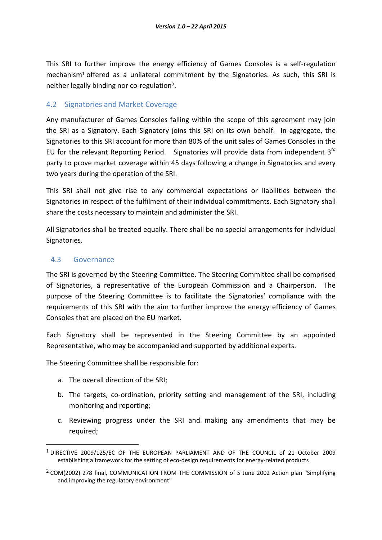This SRI to further improve the energy efficiency of Games Consoles is a self-regulation mechanism<sup>1</sup> offered as a unilateral commitment by the Signatories. As such, this SRI is neither legally binding nor co-regulation<sup>2</sup>.

# 4.2 Signatories and Market Coverage

Any manufacturer of Games Consoles falling within the scope of this agreement may join the SRI as a Signatory. Each Signatory joins this SRI on its own behalf. In aggregate, the Signatories to this SRI account for more than 80% of the unit sales of Games Consoles in the EU for the relevant Reporting Period. Signatories will provide data from independent 3<sup>rd</sup> party to prove market coverage within 45 days following a change in Signatories and every two years during the operation of the SRI.

This SRI shall not give rise to any commercial expectations or liabilities between the Signatories in respect of the fulfilment of their individual commitments. Each Signatory shall share the costs necessary to maintain and administer the SRI.

All Signatories shall be treated equally. There shall be no special arrangements for individual Signatories.

# 4.3 Governance

-

The SRI is governed by the Steering Committee. The Steering Committee shall be comprised of Signatories, a representative of the European Commission and a Chairperson. The purpose of the Steering Committee is to facilitate the Signatories' compliance with the requirements of this SRI with the aim to further improve the energy efficiency of Games Consoles that are placed on the EU market.

Each Signatory shall be represented in the Steering Committee by an appointed Representative, who may be accompanied and supported by additional experts.

The Steering Committee shall be responsible for:

- a. The overall direction of the SRI;
- b. The targets, co-ordination, priority setting and management of the SRI, including monitoring and reporting;
- c. Reviewing progress under the SRI and making any amendments that may be required;

<sup>&</sup>lt;sup>1</sup> DIRECTIVE 2009/125/EC OF THE EUROPEAN PARLIAMENT AND OF THE COUNCIL of 21 October 2009 establishing a framework for the setting of eco-design requirements for energy-related products

<sup>2</sup> COM(2002) 278 final, COMMUNICATION FROM THE COMMISSION of 5 June 2002 Action plan "Simplifying and improving the regulatory environment"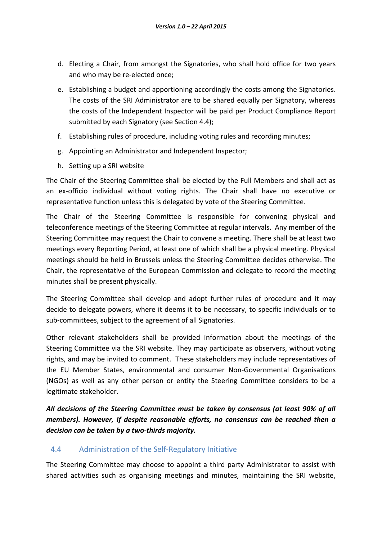- d. Electing a Chair, from amongst the Signatories, who shall hold office for two years and who may be re-elected once;
- e. Establishing a budget and apportioning accordingly the costs among the Signatories. The costs of the SRI Administrator are to be shared equally per Signatory, whereas the costs of the Independent Inspector will be paid per Product Compliance Report submitted by each Signatory (see Section 4.4);
- f. Establishing rules of procedure, including voting rules and recording minutes;
- g. Appointing an Administrator and Independent Inspector;
- h. Setting up a SRI website

The Chair of the Steering Committee shall be elected by the Full Members and shall act as an ex-officio individual without voting rights. The Chair shall have no executive or representative function unless this is delegated by vote of the Steering Committee.

The Chair of the Steering Committee is responsible for convening physical and teleconference meetings of the Steering Committee at regular intervals. Any member of the Steering Committee may request the Chair to convene a meeting. There shall be at least two meetings every Reporting Period, at least one of which shall be a physical meeting. Physical meetings should be held in Brussels unless the Steering Committee decides otherwise. The Chair, the representative of the European Commission and delegate to record the meeting minutes shall be present physically.

The Steering Committee shall develop and adopt further rules of procedure and it may decide to delegate powers, where it deems it to be necessary, to specific individuals or to sub-committees, subject to the agreement of all Signatories.

Other relevant stakeholders shall be provided information about the meetings of the Steering Committee via the SRI website. They may participate as observers, without voting rights, and may be invited to comment. These stakeholders may include representatives of the EU Member States, environmental and consumer Non-Governmental Organisations (NGOs) as well as any other person or entity the Steering Committee considers to be a legitimate stakeholder.

*All decisions of the Steering Committee must be taken by consensus (at least 90% of all members). However, if despite reasonable efforts, no consensus can be reached then a decision can be taken by a two-thirds majority.*

## 4.4 Administration of the Self-Regulatory Initiative

The Steering Committee may choose to appoint a third party Administrator to assist with shared activities such as organising meetings and minutes, maintaining the SRI website,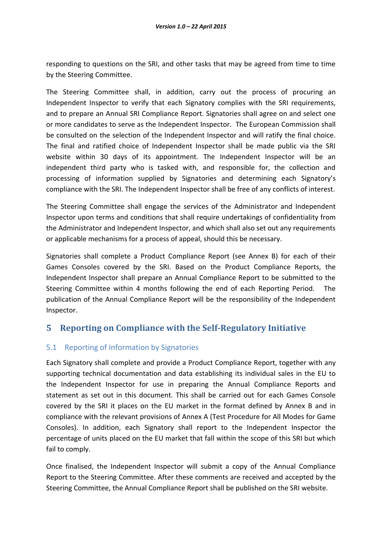responding to questions on the SRI, and other tasks that may be agreed from time to time by the Steering Committee.

The Steering Committee shall, in addition, carry out the process of procuring an Independent Inspector to verify that each Signatory complies with the SRI requirements, and to prepare an Annual SRI Compliance Report. Signatories shall agree on and select one or more candidates to serve as the Independent Inspector. The European Commission shall be consulted on the selection of the Independent Inspector and will ratify the final choice. The final and ratified choice of Independent Inspector shall be made public via the SRI website within 30 days of its appointment. The Independent Inspector will be an independent third party who is tasked with, and responsible for, the collection and processing of information supplied by Signatories and determining each Signatory's compliance with the SRI. The Independent Inspector shall be free of any conflicts of interest.

The Steering Committee shall engage the services of the Administrator and Independent Inspector upon terms and conditions that shall require undertakings of confidentiality from the Administrator and Independent Inspector, and which shall also set out any requirements or applicable mechanisms for a process of appeal, should this be necessary.

Signatories shall complete a Product Compliance Report (see Annex B) for each of their Games Consoles covered by the SRI. Based on the Product Compliance Reports, the Independent Inspector shall prepare an Annual Compliance Report to be submitted to the Steering Committee within 4 months following the end of each Reporting Period. The publication of the Annual Compliance Report will be the responsibility of the Independent Inspector.

# **5 Reporting on Compliance with the Self-Regulatory Initiative**

# 5.1 Reporting of Information by Signatories

Each Signatory shall complete and provide a Product Compliance Report, together with any supporting technical documentation and data establishing its individual sales in the EU to the Independent Inspector for use in preparing the Annual Compliance Reports and statement as set out in this document. This shall be carried out for each Games Console covered by the SRI it places on the EU market in the format defined by Annex B and in compliance with the relevant provisions of Annex A (Test Procedure for All Modes for Game Consoles). In addition, each Signatory shall report to the Independent Inspector the percentage of units placed on the EU market that fall within the scope of this SRI but which fail to comply.

Once finalised, the Independent Inspector will submit a copy of the Annual Compliance Report to the Steering Committee. After these comments are received and accepted by the Steering Committee, the Annual Compliance Report shall be published on the SRI website.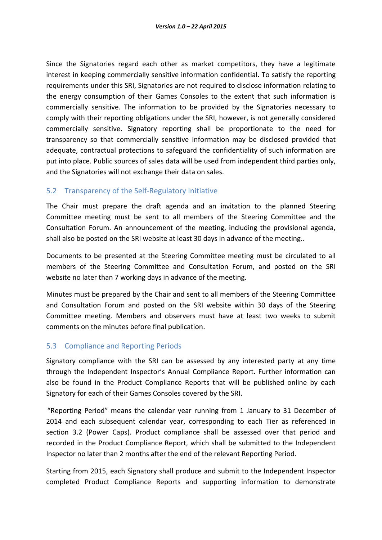Since the Signatories regard each other as market competitors, they have a legitimate interest in keeping commercially sensitive information confidential. To satisfy the reporting requirements under this SRI, Signatories are not required to disclose information relating to the energy consumption of their Games Consoles to the extent that such information is commercially sensitive. The information to be provided by the Signatories necessary to comply with their reporting obligations under the SRI, however, is not generally considered commercially sensitive. Signatory reporting shall be proportionate to the need for transparency so that commercially sensitive information may be disclosed provided that adequate, contractual protections to safeguard the confidentiality of such information are put into place. Public sources of sales data will be used from independent third parties only, and the Signatories will not exchange their data on sales.

# 5.2 Transparency of the Self-Regulatory Initiative

The Chair must prepare the draft agenda and an invitation to the planned Steering Committee meeting must be sent to all members of the Steering Committee and the Consultation Forum. An announcement of the meeting, including the provisional agenda, shall also be posted on the SRI website at least 30 days in advance of the meeting..

Documents to be presented at the Steering Committee meeting must be circulated to all members of the Steering Committee and Consultation Forum, and posted on the SRI website no later than 7 working days in advance of the meeting.

Minutes must be prepared by the Chair and sent to all members of the Steering Committee and Consultation Forum and posted on the SRI website within 30 days of the Steering Committee meeting. Members and observers must have at least two weeks to submit comments on the minutes before final publication.

## 5.3 Compliance and Reporting Periods

Signatory compliance with the SRI can be assessed by any interested party at any time through the Independent Inspector's Annual Compliance Report. Further information can also be found in the Product Compliance Reports that will be published online by each Signatory for each of their Games Consoles covered by the SRI.

"Reporting Period" means the calendar year running from 1 January to 31 December of 2014 and each subsequent calendar year, corresponding to each Tier as referenced in section 3.2 (Power Caps). Product compliance shall be assessed over that period and recorded in the Product Compliance Report, which shall be submitted to the Independent Inspector no later than 2 months after the end of the relevant Reporting Period.

Starting from 2015, each Signatory shall produce and submit to the Independent Inspector completed Product Compliance Reports and supporting information to demonstrate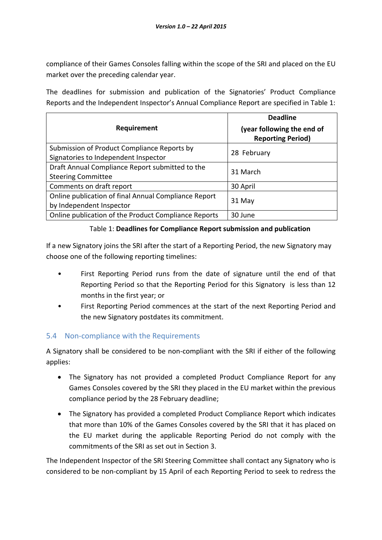compliance of their Games Consoles falling within the scope of the SRI and placed on the EU market over the preceding calendar year.

The deadlines for submission and publication of the Signatories' Product Compliance Reports and the Independent Inspector's Annual Compliance Report are specified in [Table 1:](#page-16-0)

| Requirement                                          | <b>Deadline</b><br>(year following the end of<br><b>Reporting Period)</b> |  |
|------------------------------------------------------|---------------------------------------------------------------------------|--|
| Submission of Product Compliance Reports by          |                                                                           |  |
| Signatories to Independent Inspector                 | 28 February                                                               |  |
| Draft Annual Compliance Report submitted to the      | 31 March                                                                  |  |
| <b>Steering Committee</b>                            |                                                                           |  |
| Comments on draft report                             | 30 April                                                                  |  |
| Online publication of final Annual Compliance Report | 31 May                                                                    |  |
| by Independent Inspector                             |                                                                           |  |
| Online publication of the Product Compliance Reports | 30 June                                                                   |  |

# Table 1: **Deadlines for Compliance Report submission and publication**

<span id="page-16-0"></span>If a new Signatory joins the SRI after the start of a Reporting Period, the new Signatory may choose one of the following reporting timelines:

- First Reporting Period runs from the date of signature until the end of that Reporting Period so that the Reporting Period for this Signatory is less than 12 months in the first year; or
- First Reporting Period commences at the start of the next Reporting Period and the new Signatory postdates its commitment.

# 5.4 Non-compliance with the Requirements

A Signatory shall be considered to be non-compliant with the SRI if either of the following applies:

- The Signatory has not provided a completed Product Compliance Report for any Games Consoles covered by the SRI they placed in the EU market within the previous compliance period by the 28 February deadline;
- The Signatory has provided a completed Product Compliance Report which indicates that more than 10% of the Games Consoles covered by the SRI that it has placed on the EU market during the applicable Reporting Period do not comply with the commitments of the SRI as set out in Section 3.

The Independent Inspector of the SRI Steering Committee shall contact any Signatory who is considered to be non-compliant by 15 April of each Reporting Period to seek to redress the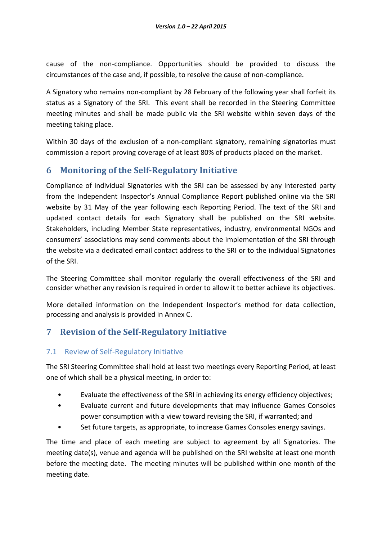cause of the non-compliance. Opportunities should be provided to discuss the circumstances of the case and, if possible, to resolve the cause of non-compliance.

A Signatory who remains non-compliant by 28 February of the following year shall forfeit its status as a Signatory of the SRI. This event shall be recorded in the Steering Committee meeting minutes and shall be made public via the SRI website within seven days of the meeting taking place.

Within 30 days of the exclusion of a non-compliant signatory, remaining signatories must commission a report proving coverage of at least 80% of products placed on the market.

# **6 Monitoring of the Self-Regulatory Initiative**

Compliance of individual Signatories with the SRI can be assessed by any interested party from the Independent Inspector's Annual Compliance Report published online via the SRI website by 31 May of the year following each Reporting Period. The text of the SRI and updated contact details for each Signatory shall be published on the SRI website. Stakeholders, including Member State representatives, industry, environmental NGOs and consumers' associations may send comments about the implementation of the SRI through the website via a dedicated email contact address to the SRI or to the individual Signatories of the SRI.

The Steering Committee shall monitor regularly the overall effectiveness of the SRI and consider whether any revision is required in order to allow it to better achieve its objectives.

More detailed information on the Independent Inspector's method for data collection, processing and analysis is provided in Annex C.

# **7 Revision of the Self-Regulatory Initiative**

# 7.1 Review of Self-Regulatory Initiative

The SRI Steering Committee shall hold at least two meetings every Reporting Period, at least one of which shall be a physical meeting, in order to:

- Evaluate the effectiveness of the SRI in achieving its energy efficiency objectives;
- Evaluate current and future developments that may influence Games Consoles power consumption with a view toward revising the SRI, if warranted; and
- Set future targets, as appropriate, to increase Games Consoles energy savings.

The time and place of each meeting are subject to agreement by all Signatories. The meeting date(s), venue and agenda will be published on the SRI website at least one month before the meeting date. The meeting minutes will be published within one month of the meeting date.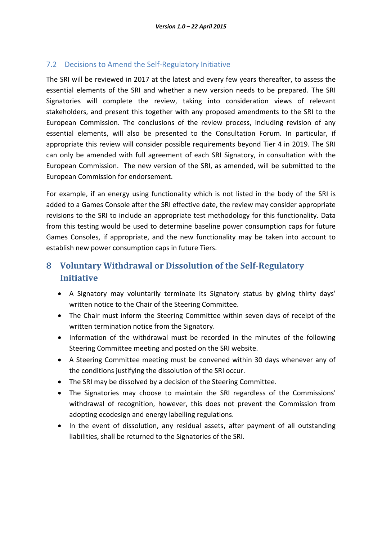# 7.2 Decisions to Amend the Self-Regulatory Initiative

The SRI will be reviewed in 2017 at the latest and every few years thereafter, to assess the essential elements of the SRI and whether a new version needs to be prepared. The SRI Signatories will complete the review, taking into consideration views of relevant stakeholders, and present this together with any proposed amendments to the SRI to the European Commission. The conclusions of the review process, including revision of any essential elements, will also be presented to the Consultation Forum. In particular, if appropriate this review will consider possible requirements beyond Tier 4 in 2019. The SRI can only be amended with full agreement of each SRI Signatory, in consultation with the European Commission. The new version of the SRI, as amended, will be submitted to the European Commission for endorsement.

For example, if an energy using functionality which is not listed in the body of the SRI is added to a Games Console after the SRI effective date, the review may consider appropriate revisions to the SRI to include an appropriate test methodology for this functionality. Data from this testing would be used to determine baseline power consumption caps for future Games Consoles, if appropriate, and the new functionality may be taken into account to establish new power consumption caps in future Tiers.

# **8 Voluntary Withdrawal or Dissolution of the Self-Regulatory Initiative**

- A Signatory may voluntarily terminate its Signatory status by giving thirty days' written notice to the Chair of the Steering Committee.
- The Chair must inform the Steering Committee within seven days of receipt of the written termination notice from the Signatory.
- Information of the withdrawal must be recorded in the minutes of the following Steering Committee meeting and posted on the SRI website.
- A Steering Committee meeting must be convened within 30 days whenever any of the conditions justifying the dissolution of the SRI occur.
- The SRI may be dissolved by a decision of the Steering Committee.
- The Signatories may choose to maintain the SRI regardless of the Commissions' withdrawal of recognition, however, this does not prevent the Commission from adopting ecodesign and energy labelling regulations.
- In the event of dissolution, any residual assets, after payment of all outstanding liabilities, shall be returned to the Signatories of the SRI.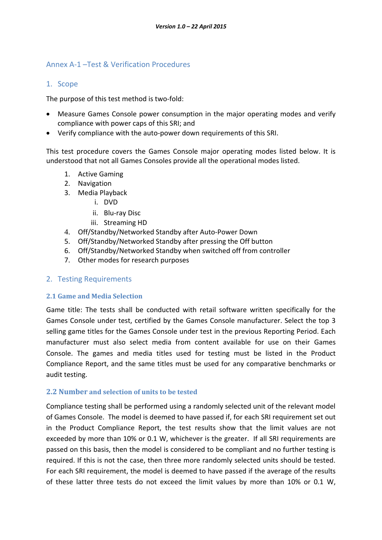# <span id="page-19-0"></span>Annex A-1 –Test & Verification Procedures

## 1. Scope

The purpose of this test method is two-fold:

- Measure Games Console power consumption in the major operating modes and verify compliance with power caps of this SRI; and
- Verify compliance with the auto-power down requirements of this SRI.

This test procedure covers the Games Console major operating modes listed below. It is understood that not all Games Consoles provide all the operational modes listed.

- 1. Active Gaming
- 2. Navigation
- 3. Media Playback
	- i. DVD
	- ii. Blu-ray Disc
	- iii. Streaming HD
- 4. Off/Standby/Networked Standby after Auto-Power Down
- 5. Off/Standby/Networked Standby after pressing the Off button
- 6. Off/Standby/Networked Standby when switched off from controller
- 7. Other modes for research purposes

## 2. Testing Requirements

#### **2.1 Game and Media Selection**

Game title: The tests shall be conducted with retail software written specifically for the Games Console under test, certified by the Games Console manufacturer. Select the top 3 selling game titles for the Games Console under test in the previous Reporting Period. Each manufacturer must also select media from content available for use on their Games Console. The games and media titles used for testing must be listed in the Product Compliance Report, and the same titles must be used for any comparative benchmarks or audit testing.

## **2.2 Number and selection of units to be tested**

Compliance testing shall be performed using a randomly selected unit of the relevant model of Games Console. The model is deemed to have passed if, for each SRI requirement set out in the Product Compliance Report, the test results show that the limit values are not exceeded by more than 10% or 0.1 W, whichever is the greater. If all SRI requirements are passed on this basis, then the model is considered to be compliant and no further testing is required. If this is not the case, then three more randomly selected units should be tested. For each SRI requirement, the model is deemed to have passed if the average of the results of these latter three tests do not exceed the limit values by more than 10% or 0.1 W,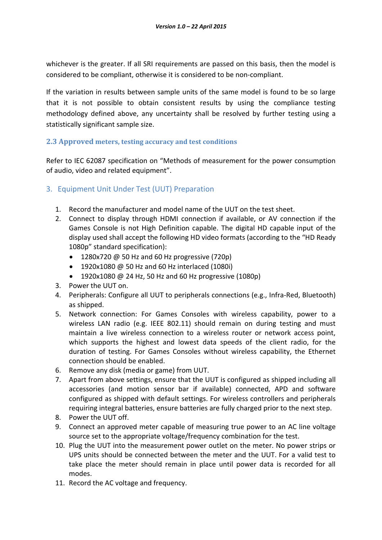whichever is the greater. If all SRI requirements are passed on this basis, then the model is considered to be compliant, otherwise it is considered to be non-compliant.

If the variation in results between sample units of the same model is found to be so large that it is not possible to obtain consistent results by using the compliance testing methodology defined above, any uncertainty shall be resolved by further testing using a statistically significant sample size.

## **2.3 Approved meters, testing accuracy and test conditions**

Refer to IEC 62087 specification on "Methods of measurement for the power consumption of audio, video and related equipment".

# 3. Equipment Unit Under Test (UUT) Preparation

- 1. Record the manufacturer and model name of the UUT on the test sheet.
- 2. Connect to display through HDMI connection if available, or AV connection if the Games Console is not High Definition capable. The digital HD capable input of the display used shall accept the following HD video formats (according to the "HD Ready 1080p" standard specification):
	- $\bullet$  1280x720 @ 50 Hz and 60 Hz progressive (720p)
	- 1920x1080 @ 50 Hz and 60 Hz interlaced (1080i)
	- $\bullet$  1920x1080 @ 24 Hz, 50 Hz and 60 Hz progressive (1080p)
- 3. Power the UUT on.
- 4. Peripherals: Configure all UUT to peripherals connections (e.g., Infra-Red, Bluetooth) as shipped.
- 5. Network connection: For Games Consoles with wireless capability, power to a wireless LAN radio (e.g. IEEE 802.11) should remain on during testing and must maintain a live wireless connection to a wireless router or network access point, which supports the highest and lowest data speeds of the client radio, for the duration of testing. For Games Consoles without wireless capability, the Ethernet connection should be enabled.
- 6. Remove any disk (media or game) from UUT.
- 7. Apart from above settings, ensure that the UUT is configured as shipped including all accessories (and motion sensor bar if available) connected, APD and software configured as shipped with default settings. For wireless controllers and peripherals requiring integral batteries, ensure batteries are fully charged prior to the next step.
- 8. Power the UUT off.
- 9. Connect an approved meter capable of measuring true power to an AC line voltage source set to the appropriate voltage/frequency combination for the test.
- 10. Plug the UUT into the measurement power outlet on the meter. No power strips or UPS units should be connected between the meter and the UUT. For a valid test to take place the meter should remain in place until power data is recorded for all modes.
- 11. Record the AC voltage and frequency.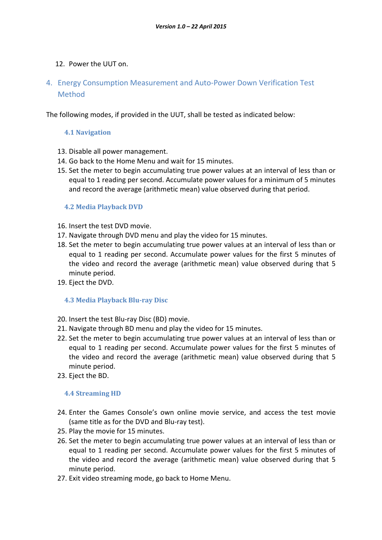## 12. Power the UUT on.

# 4. Energy Consumption Measurement and Auto-Power Down Verification Test Method

The following modes, if provided in the UUT, shall be tested as indicated below:

#### **4.1 Navigation**

- 13. Disable all power management.
- 14. Go back to the Home Menu and wait for 15 minutes.
- 15. Set the meter to begin accumulating true power values at an interval of less than or equal to 1 reading per second. Accumulate power values for a minimum of 5 minutes and record the average (arithmetic mean) value observed during that period.

#### **4.2 Media Playback DVD**

- 16. Insert the test DVD movie.
- 17. Navigate through DVD menu and play the video for 15 minutes.
- 18. Set the meter to begin accumulating true power values at an interval of less than or equal to 1 reading per second. Accumulate power values for the first 5 minutes of the video and record the average (arithmetic mean) value observed during that 5 minute period.
- 19. Eject the DVD.

#### **4.3 Media Playback Blu-ray Disc**

- 20. Insert the test Blu-ray Disc (BD) movie.
- 21. Navigate through BD menu and play the video for 15 minutes.
- 22. Set the meter to begin accumulating true power values at an interval of less than or equal to 1 reading per second. Accumulate power values for the first 5 minutes of the video and record the average (arithmetic mean) value observed during that 5 minute period.
- 23. Eject the BD.

#### **4.4 Streaming HD**

- 24. Enter the Games Console's own online movie service, and access the test movie (same title as for the DVD and Blu-ray test).
- 25. Play the movie for 15 minutes.
- 26. Set the meter to begin accumulating true power values at an interval of less than or equal to 1 reading per second. Accumulate power values for the first 5 minutes of the video and record the average (arithmetic mean) value observed during that 5 minute period.
- 27. Exit video streaming mode, go back to Home Menu.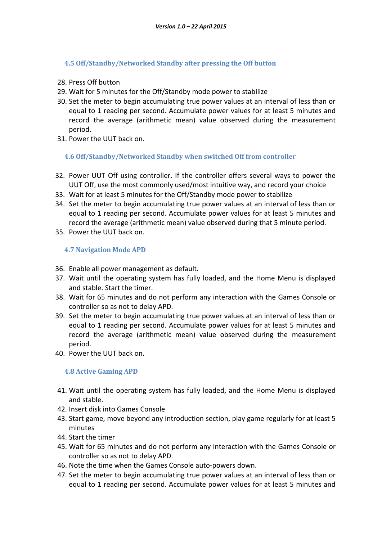**4.5 Off/Standby/Networked Standby after pressing the Off button**

- 28. Press Off button
- 29. Wait for 5 minutes for the Off/Standby mode power to stabilize
- 30. Set the meter to begin accumulating true power values at an interval of less than or equal to 1 reading per second. Accumulate power values for at least 5 minutes and record the average (arithmetic mean) value observed during the measurement period.
- 31. Power the UUT back on.

**4.6 Off/Standby/Networked Standby when switched Off from controller**

- 32. Power UUT Off using controller. If the controller offers several ways to power the UUT Off, use the most commonly used/most intuitive way, and record your choice
- 33. Wait for at least 5 minutes for the Off/Standby mode power to stabilize
- 34. Set the meter to begin accumulating true power values at an interval of less than or equal to 1 reading per second. Accumulate power values for at least 5 minutes and record the average (arithmetic mean) value observed during that 5 minute period.
- 35. Power the UUT back on.

#### **4.7 Navigation Mode APD**

- 36. Enable all power management as default.
- 37. Wait until the operating system has fully loaded, and the Home Menu is displayed and stable. Start the timer.
- 38. Wait for 65 minutes and do not perform any interaction with the Games Console or controller so as not to delay APD.
- 39. Set the meter to begin accumulating true power values at an interval of less than or equal to 1 reading per second. Accumulate power values for at least 5 minutes and record the average (arithmetic mean) value observed during the measurement period.
- 40. Power the UUT back on.

#### **4.8 Active Gaming APD**

- 41. Wait until the operating system has fully loaded, and the Home Menu is displayed and stable.
- 42. Insert disk into Games Console
- 43. Start game, move beyond any introduction section, play game regularly for at least 5 minutes
- 44. Start the timer
- 45. Wait for 65 minutes and do not perform any interaction with the Games Console or controller so as not to delay APD.
- 46. Note the time when the Games Console auto-powers down.
- 47. Set the meter to begin accumulating true power values at an interval of less than or equal to 1 reading per second. Accumulate power values for at least 5 minutes and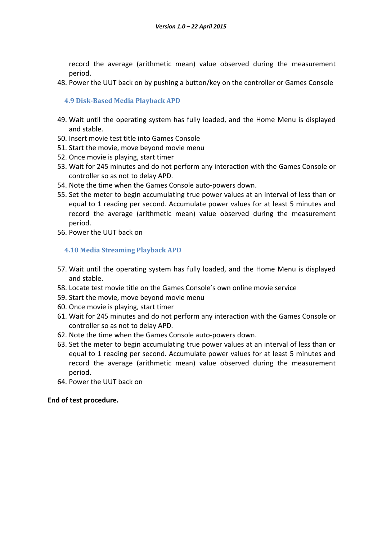record the average (arithmetic mean) value observed during the measurement period.

48. Power the UUT back on by pushing a button/key on the controller or Games Console

#### **4.9 Disk-Based Media Playback APD**

- 49. Wait until the operating system has fully loaded, and the Home Menu is displayed and stable.
- 50. Insert movie test title into Games Console
- 51. Start the movie, move beyond movie menu
- 52. Once movie is playing, start timer
- 53. Wait for 245 minutes and do not perform any interaction with the Games Console or controller so as not to delay APD.
- 54. Note the time when the Games Console auto-powers down.
- 55. Set the meter to begin accumulating true power values at an interval of less than or equal to 1 reading per second. Accumulate power values for at least 5 minutes and record the average (arithmetic mean) value observed during the measurement period.
- 56. Power the UUT back on

#### **4.10 Media Streaming Playback APD**

- 57. Wait until the operating system has fully loaded, and the Home Menu is displayed and stable.
- 58. Locate test movie title on the Games Console's own online movie service
- 59. Start the movie, move beyond movie menu
- 60. Once movie is playing, start timer
- 61. Wait for 245 minutes and do not perform any interaction with the Games Console or controller so as not to delay APD.
- 62. Note the time when the Games Console auto-powers down.
- 63. Set the meter to begin accumulating true power values at an interval of less than or equal to 1 reading per second. Accumulate power values for at least 5 minutes and record the average (arithmetic mean) value observed during the measurement period.
- 64. Power the UUT back on

#### **End of test procedure.**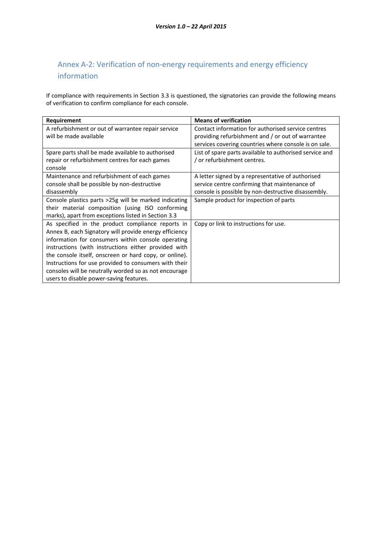# Annex A-2: Verification of non-energy requirements and energy efficiency information

If compliance with requirements in Section 3.3 is questioned, the signatories can provide the following means of verification to confirm compliance for each console.

| Requirement                                            | <b>Means of verification</b>                            |
|--------------------------------------------------------|---------------------------------------------------------|
| A refurbishment or out of warrantee repair service     | Contact information for authorised service centres      |
| will be made available                                 | providing refurbishment and / or out of warrantee       |
|                                                        | services covering countries where console is on sale.   |
| Spare parts shall be made available to authorised      | List of spare parts available to authorised service and |
| repair or refurbishment centres for each games         | / or refurbishment centres.                             |
| console                                                |                                                         |
| Maintenance and refurbishment of each games            | A letter signed by a representative of authorised       |
| console shall be possible by non-destructive           | service centre confirming that maintenance of           |
| disassembly                                            | console is possible by non-destructive disassembly.     |
| Console plastics parts >25g will be marked indicating  | Sample product for inspection of parts                  |
| their material composition (using ISO conforming       |                                                         |
| marks), apart from exceptions listed in Section 3.3    |                                                         |
| As specified in the product compliance reports in      | Copy or link to instructions for use.                   |
| Annex B, each Signatory will provide energy efficiency |                                                         |
| information for consumers within console operating     |                                                         |
| instructions (with instructions either provided with   |                                                         |
| the console itself, onscreen or hard copy, or online). |                                                         |
| Instructions for use provided to consumers with their  |                                                         |
| consoles will be neutrally worded so as not encourage  |                                                         |
| users to disable power-saving features.                |                                                         |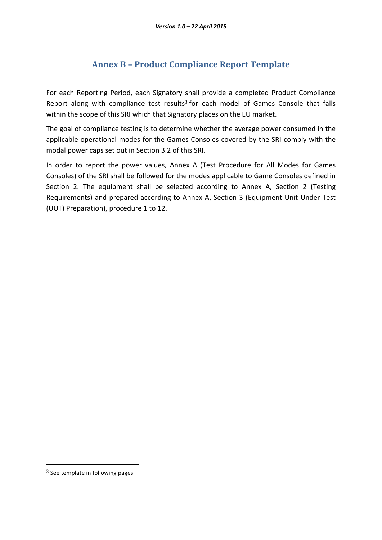# **Annex B – Product Compliance Report Template**

For each Reporting Period, each Signatory shall provide a completed Product Compliance Report along with compliance test results $3$  for each model of Games Console that falls within the scope of this SRI which that Signatory places on the EU market.

The goal of compliance testing is to determine whether the average power consumed in the applicable operational modes for the Games Consoles covered by the SRI comply with the modal power caps set out in Section 3.2 of this SRI.

In order to report the power values, Annex A (Test Procedure for All Modes for Games Consoles) of the SRI shall be followed for the modes applicable to Game Consoles defined in Section 2. The equipment shall be selected according to Annex A, Section 2 (Testing Requirements) and prepared according to Annex A, Section 3 (Equipment Unit Under Test (UUT) Preparation), procedure 1 to 12.

-

 $3$  See template in following pages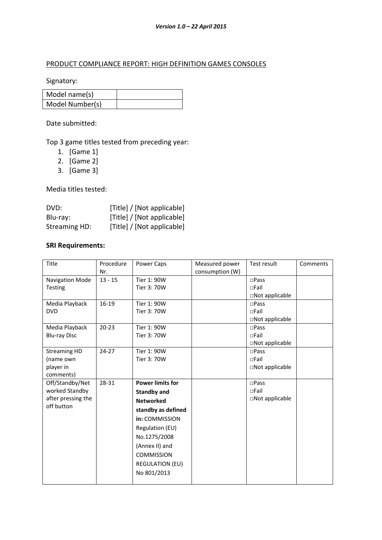#### PRODUCT COMPLIANCE REPORT: HIGH DEFINITION GAMES CONSOLES

Signatory:

| Model name(s)   |  |
|-----------------|--|
| Model Number(s) |  |

Date submitted:

Top 3 game titles tested from preceding year:

- 1. [Game 1]
- 2. [Game 2]
- 3. [Game 3]

Media titles tested:

| DVD:          | [Title] / [Not applicable] |
|---------------|----------------------------|
| Blu-ray:      | [Title] / [Not applicable] |
| Streaming HD: | [Title] / [Not applicable] |

#### **SRI Requirements:**

| Title               | Procedure | Power Caps              | Measured power  | Test result           | Comments |
|---------------------|-----------|-------------------------|-----------------|-----------------------|----------|
|                     | Nr.       |                         | consumption (W) |                       |          |
| Navigation Mode     | $13 - 15$ | Tier 1: 90W             |                 | $\square$ Pass        |          |
| <b>Testing</b>      |           | Tier 3: 70W             |                 | $\Box$ Fail           |          |
|                     |           |                         |                 | $\Box$ Not applicable |          |
| Media Playback      | $16-19$   | Tier 1: 90W             |                 | $\Box$ Pass           |          |
| <b>DVD</b>          |           | Tier 3: 70W             |                 | $\Box$ Fail           |          |
|                     |           |                         |                 | □Not applicable       |          |
| Media Playback      | $20 - 23$ | Tier 1: 90W             |                 | $\Box$ Pass           |          |
| <b>Blu-ray Disc</b> |           | Tier 3: 70W             |                 | $\Box$ Fail           |          |
|                     |           |                         |                 | $\Box$ Not applicable |          |
| <b>Streaming HD</b> | 24-27     | Tier 1: 90W             |                 | $\square$ Pass        |          |
| (name own           |           | Tier 3: 70W             |                 | $\Box$ Fail           |          |
| player in           |           |                         |                 | $\Box$ Not applicable |          |
| comments)           |           |                         |                 |                       |          |
| Off/Standby/Net     | 28-31     | <b>Power limits for</b> |                 | $\square$ Pass        |          |
| worked Standby      |           | <b>Standby and</b>      |                 | $\sqcap$ Fail         |          |
| after pressing the  |           | <b>Networked</b>        |                 | □Not applicable       |          |
| off button          |           | standby as defined      |                 |                       |          |
|                     |           | in: COMMISSION          |                 |                       |          |
|                     |           | Regulation (EU)         |                 |                       |          |
|                     |           | No.1275/2008            |                 |                       |          |
|                     |           | (Annex II) and          |                 |                       |          |
|                     |           | <b>COMMISSION</b>       |                 |                       |          |
|                     |           |                         |                 |                       |          |
|                     |           | <b>REGULATION (EU)</b>  |                 |                       |          |
|                     |           | No 801/2013             |                 |                       |          |
|                     |           |                         |                 |                       |          |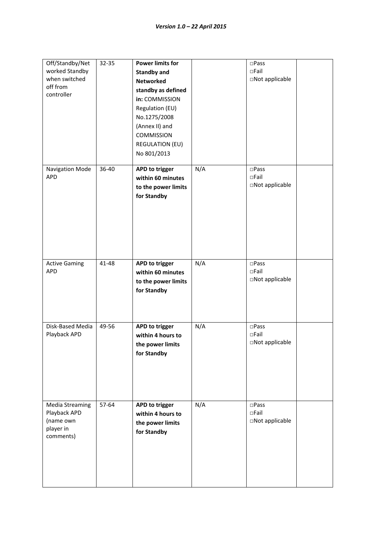| Off/Standby/Net<br>worked Standby<br>when switched<br>off from<br>controller | 32-35 | <b>Power limits for</b><br><b>Standby and</b><br><b>Networked</b><br>standby as defined<br>in: COMMISSION<br>Regulation (EU)<br>No.1275/2008<br>(Annex II) and<br><b>COMMISSION</b><br><b>REGULATION (EU)</b><br>No 801/2013 |     | $\square$ Pass<br>$\Box$ Fail<br>□Not applicable |  |
|------------------------------------------------------------------------------|-------|------------------------------------------------------------------------------------------------------------------------------------------------------------------------------------------------------------------------------|-----|--------------------------------------------------|--|
| Navigation Mode<br>APD                                                       | 36-40 | <b>APD to trigger</b><br>within 60 minutes<br>to the power limits<br>for Standby                                                                                                                                             | N/A | $\square$ Pass<br>$\Box$ Fail<br>□Not applicable |  |
| <b>Active Gaming</b><br><b>APD</b>                                           | 41-48 | <b>APD to trigger</b><br>within 60 minutes<br>to the power limits<br>for Standby                                                                                                                                             | N/A | $\square$ Pass<br>$\Box$ Fail<br>□Not applicable |  |
| Disk-Based Media<br>Playback APD                                             | 49-56 | APD to trigger<br>within 4 hours to<br>the power limits<br>for Standby                                                                                                                                                       | N/A | $\square$ Pass<br>$\Box$ Fail<br>□Not applicable |  |
| Media Streaming<br>Playback APD<br>(name own<br>player in<br>comments)       | 57-64 | APD to trigger<br>within 4 hours to<br>the power limits<br>for Standby                                                                                                                                                       | N/A | $\square$ Pass<br>$\Box$ Fail<br>□Not applicable |  |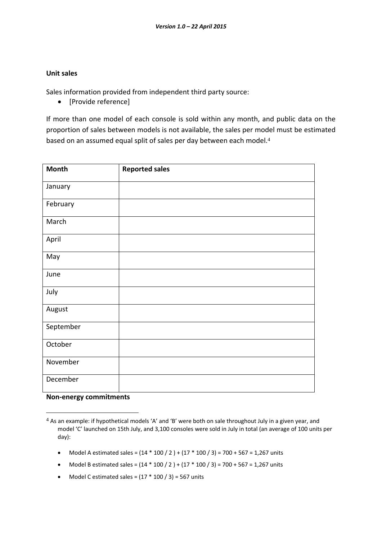#### **Unit sales**

Sales information provided from independent third party source:

• [Provide reference]

If more than one model of each console is sold within any month, and public data on the proportion of sales between models is not available, the sales per model must be estimated based on an assumed equal split of sales per day between each model. 4

| <b>Month</b> | <b>Reported sales</b> |
|--------------|-----------------------|
| January      |                       |
| February     |                       |
| March        |                       |
| April        |                       |
| May          |                       |
| June         |                       |
| July         |                       |
| August       |                       |
| September    |                       |
| October      |                       |
| November     |                       |
| December     |                       |

#### **Non-energy commitments**

-

- Model A estimated sales =  $(14 * 100 / 2) + (17 * 100 / 3) = 700 + 567 = 1,267$  units
- Model B estimated sales =  $(14 * 100 / 2) + (17 * 100 / 3) = 700 + 567 = 1,267$  units
- Model C estimated sales =  $(17 * 100 / 3) = 567$  units

<sup>4</sup> As an example: if hypothetical models 'A' and 'B' were both on sale throughout July in a given year, and model 'C' launched on 15th July, and 3,100 consoles were sold in July in total (an average of 100 units per day):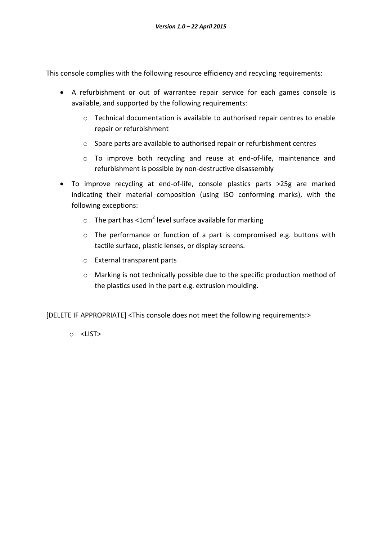This console complies with the following resource efficiency and recycling requirements:

- A refurbishment or out of warrantee repair service for each games console is available, and supported by the following requirements:
	- o Technical documentation is available to authorised repair centres to enable repair or refurbishment
	- o Spare parts are available to authorised repair or refurbishment centres
	- o To improve both recycling and reuse at end-of-life, maintenance and refurbishment is possible by non-destructive disassembly
- To improve recycling at end-of-life, console plastics parts >25g are marked indicating their material composition (using ISO conforming marks), with the following exceptions:
	- $\circ$  The part has <1cm<sup>2</sup> level surface available for marking
	- o The performance or function of a part is compromised e.g. buttons with tactile surface, plastic lenses, or display screens.
	- o External transparent parts
	- o Marking is not technically possible due to the specific production method of the plastics used in the part e.g. extrusion moulding.

[DELETE IF APPROPRIATE] <This console does not meet the following requirements:>

o <LIST>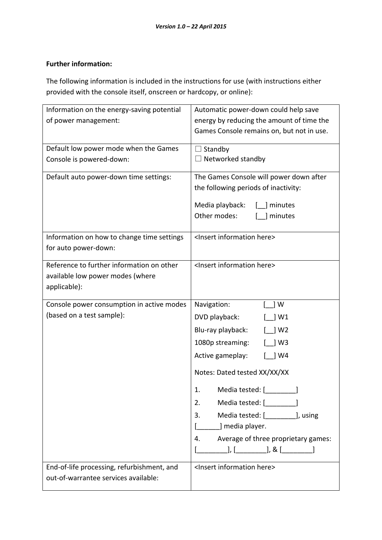## **Further information:**

The following information is included in the instructions for use (with instructions either provided with the console itself, onscreen or hardcopy, or online):

| Information on the energy-saving potential                                         | Automatic power-down could help save                   |
|------------------------------------------------------------------------------------|--------------------------------------------------------|
| of power management:                                                               | energy by reducing the amount of time the              |
|                                                                                    | Games Console remains on, but not in use.              |
| Default low power mode when the Games                                              | $\Box$ Standby                                         |
| Console is powered-down:                                                           | Networked standby                                      |
|                                                                                    |                                                        |
| Default auto power-down time settings:                                             | The Games Console will power down after                |
|                                                                                    | the following periods of inactivity:                   |
|                                                                                    | Media playback:<br>[ ] minutes                         |
|                                                                                    | Other modes:<br>] minutes                              |
|                                                                                    |                                                        |
| Information on how to change time settings                                         | <insert here="" information=""></insert>               |
| for auto power-down:                                                               |                                                        |
| Reference to further information on other                                          | <insert here="" information=""></insert>               |
| available low power modes (where                                                   |                                                        |
| applicable):                                                                       |                                                        |
|                                                                                    |                                                        |
| Console power consumption in active modes                                          | Navigation:<br>1 W                                     |
| (based on a test sample):                                                          | DVD playback:<br>  W1                                  |
|                                                                                    | Blu-ray playback:<br>] W2                              |
|                                                                                    | 1080p streaming:<br>3 W J                              |
|                                                                                    | Active gameplay:<br>$\begin{bmatrix} \end{bmatrix}$ W4 |
|                                                                                    | Notes: Dated tested XX/XX/XX                           |
|                                                                                    | Media tested: [<br>1.                                  |
|                                                                                    | Media tested: [ <b><i>________</i></b><br>2.           |
|                                                                                    | Media tested: [ ], using<br>3.                         |
|                                                                                    | ] media player.                                        |
|                                                                                    | Average of three proprietary games:<br>4.              |
|                                                                                    |                                                        |
|                                                                                    |                                                        |
|                                                                                    |                                                        |
| End-of-life processing, refurbishment, and<br>out-of-warrantee services available: | <insert here="" information=""></insert>               |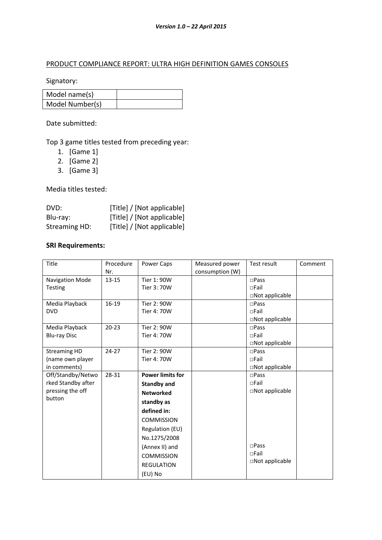#### PRODUCT COMPLIANCE REPORT: ULTRA HIGH DEFINITION GAMES CONSOLES

Signatory:

| Model name(s)   |  |
|-----------------|--|
| Model Number(s) |  |

Date submitted:

Top 3 game titles tested from preceding year:

- 1. [Game 1]
- 2. [Game 2]
- 3. [Game 3]

Media titles tested:

| DVD:                 | [Title] / [Not applicable] |
|----------------------|----------------------------|
| Blu-ray:             | [Title] / [Not applicable] |
| <b>Streaming HD:</b> | [Title] / [Not applicable] |

#### **SRI Requirements:**

| Title               | Procedure | Power Caps              | Measured power  | Test result           | Comment |
|---------------------|-----------|-------------------------|-----------------|-----------------------|---------|
|                     | Nr.       |                         | consumption (W) |                       |         |
| Navigation Mode     | $13 - 15$ | Tier 1: 90W             |                 | $\Box$ Pass           |         |
| <b>Testing</b>      |           | Tier 3: 70W             |                 | $\Box$ Fail           |         |
|                     |           |                         |                 | □Not applicable       |         |
| Media Playback      | 16-19     | Tier 2: 90W             |                 | $\square$ Pass        |         |
| <b>DVD</b>          |           | Tier 4: 70W             |                 | $\Box$ Fail           |         |
|                     |           |                         |                 | □Not applicable       |         |
| Media Playback      | $20 - 23$ | Tier 2: 90W             |                 | $\square$ Pass        |         |
| <b>Blu-ray Disc</b> |           | Tier 4: 70W             |                 | $\sqcap$ Fail         |         |
|                     |           |                         |                 | □Not applicable       |         |
| <b>Streaming HD</b> | 24-27     | Tier 2: 90W             |                 | $\square$ Pass        |         |
| (name own player    |           | Tier 4: 70W             |                 | $\sqcap$ Fail         |         |
| in comments)        |           |                         |                 | □Not applicable       |         |
| Off/Standby/Netwo   | 28-31     | <b>Power limits for</b> |                 | $\square$ Pass        |         |
| rked Standby after  |           | <b>Standby and</b>      |                 | $\Box$ Fail           |         |
| pressing the off    |           | <b>Networked</b>        |                 | $\Box$ Not applicable |         |
| button              |           | standby as              |                 |                       |         |
|                     |           | defined in:             |                 |                       |         |
|                     |           | <b>COMMISSION</b>       |                 |                       |         |
|                     |           | Regulation (EU)         |                 |                       |         |
|                     |           | No.1275/2008            |                 |                       |         |
|                     |           | (Annex II) and          |                 | $\square$ Pass        |         |
|                     |           | <b>COMMISSION</b>       |                 | $\sqcap$ Fail         |         |
|                     |           | <b>REGULATION</b>       |                 | $\Box$ Not applicable |         |
|                     |           | (EU) No                 |                 |                       |         |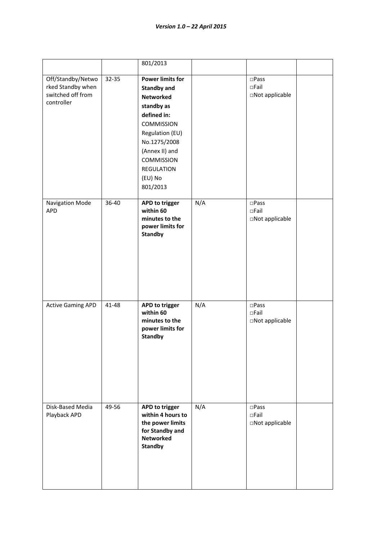|                                                                           |       | 801/2013                                                                                                                                                                                                                                  |     |                                                     |  |
|---------------------------------------------------------------------------|-------|-------------------------------------------------------------------------------------------------------------------------------------------------------------------------------------------------------------------------------------------|-----|-----------------------------------------------------|--|
| Off/Standby/Netwo<br>rked Standby when<br>switched off from<br>controller | 32-35 | <b>Power limits for</b><br><b>Standby and</b><br><b>Networked</b><br>standby as<br>defined in:<br><b>COMMISSION</b><br>Regulation (EU)<br>No.1275/2008<br>(Annex II) and<br><b>COMMISSION</b><br><b>REGULATION</b><br>(EU) No<br>801/2013 |     | $\square$ Pass<br>$\square$ Fail<br>□Not applicable |  |
| Navigation Mode<br><b>APD</b>                                             | 36-40 | APD to trigger<br>within 60<br>minutes to the<br>power limits for<br><b>Standby</b>                                                                                                                                                       | N/A | $\square$ Pass<br>$\Box$ Fail<br>□Not applicable    |  |
| <b>Active Gaming APD</b>                                                  | 41-48 | APD to trigger<br>within 60<br>minutes to the<br>power limits for<br><b>Standby</b>                                                                                                                                                       | N/A | $\square$ Pass<br>$\Box$ Fail<br>□Not applicable    |  |
| Disk-Based Media<br>Playback APD                                          | 49-56 | APD to trigger<br>within 4 hours to<br>the power limits<br>for Standby and<br><b>Networked</b><br><b>Standby</b>                                                                                                                          | N/A | $\square$ Pass<br>$\square$ Fail<br>□Not applicable |  |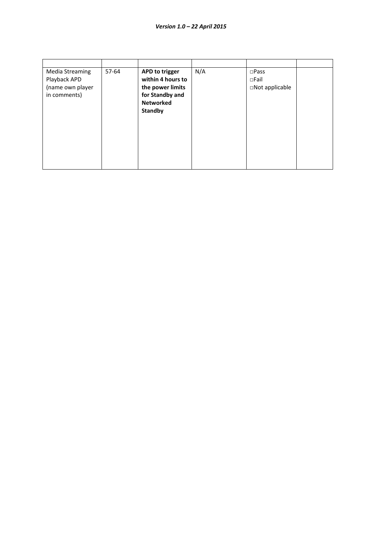| <b>Media Streaming</b><br>Playback APD<br>(name own player<br>in comments) | 57-64 | <b>APD to trigger</b><br>within 4 hours to<br>the power limits<br>for Standby and | N/A | $\square$ Pass<br>$\Box$ Fail<br>$\Box$ Not applicable |  |
|----------------------------------------------------------------------------|-------|-----------------------------------------------------------------------------------|-----|--------------------------------------------------------|--|
|                                                                            |       | <b>Networked</b><br><b>Standby</b>                                                |     |                                                        |  |
|                                                                            |       |                                                                                   |     |                                                        |  |
|                                                                            |       |                                                                                   |     |                                                        |  |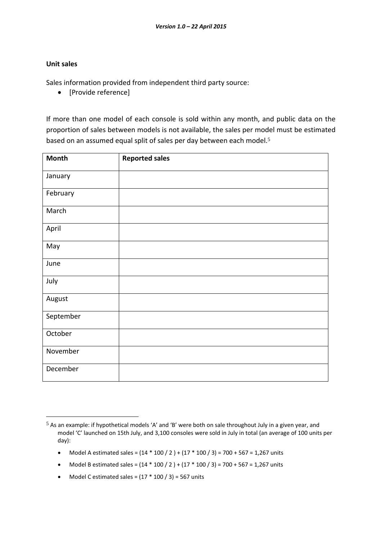#### **Unit sales**

-

Sales information provided from independent third party source:

[Provide reference]

If more than one model of each console is sold within any month, and public data on the proportion of sales between models is not available, the sales per model must be estimated based on an assumed equal split of sales per day between each model. 5

| <b>Month</b> | <b>Reported sales</b> |
|--------------|-----------------------|
| January      |                       |
| February     |                       |
| March        |                       |
| April        |                       |
| May          |                       |
| June         |                       |
| July         |                       |
| August       |                       |
| September    |                       |
| October      |                       |
| November     |                       |
| December     |                       |

- Model A estimated sales =  $(14 * 100 / 2) + (17 * 100 / 3) = 700 + 567 = 1,267$  units
- Model B estimated sales =  $(14 * 100 / 2) + (17 * 100 / 3) = 700 + 567 = 1,267$  units
- Model C estimated sales =  $(17 * 100 / 3) = 567$  units

<sup>5</sup> As an example: if hypothetical models 'A' and 'B' were both on sale throughout July in a given year, and model 'C' launched on 15th July, and 3,100 consoles were sold in July in total (an average of 100 units per day):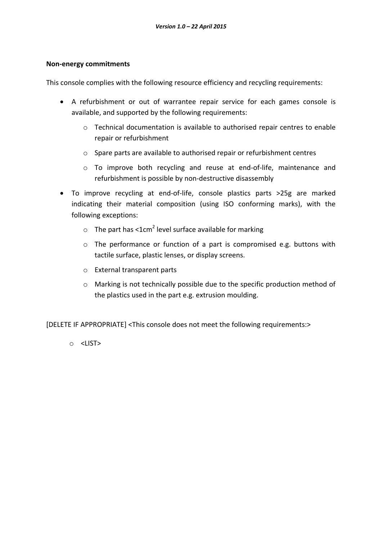#### **Non-energy commitments**

This console complies with the following resource efficiency and recycling requirements:

- A refurbishment or out of warrantee repair service for each games console is available, and supported by the following requirements:
	- o Technical documentation is available to authorised repair centres to enable repair or refurbishment
	- o Spare parts are available to authorised repair or refurbishment centres
	- o To improve both recycling and reuse at end-of-life, maintenance and refurbishment is possible by non-destructive disassembly
- To improve recycling at end-of-life, console plastics parts >25g are marked indicating their material composition (using ISO conforming marks), with the following exceptions:
	- $\circ$  The part has <1cm<sup>2</sup> level surface available for marking
	- o The performance or function of a part is compromised e.g. buttons with tactile surface, plastic lenses, or display screens.
	- o External transparent parts
	- o Marking is not technically possible due to the specific production method of the plastics used in the part e.g. extrusion moulding.

[DELETE IF APPROPRIATE] <This console does not meet the following requirements:>

o <LIST>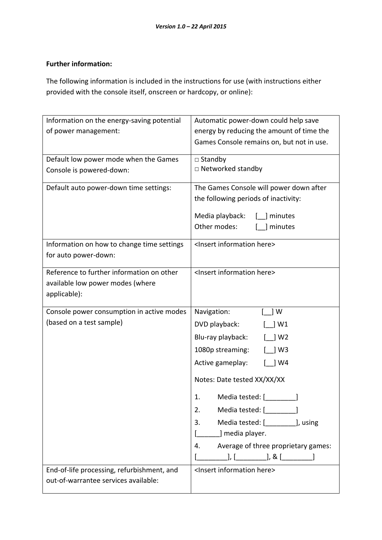## **Further information:**

The following information is included in the instructions for use (with instructions either provided with the console itself, onscreen or hardcopy, or online):

| Information on the energy-saving potential<br>of power management:            | Automatic power-down could help save<br>energy by reducing the amount of time the |
|-------------------------------------------------------------------------------|-----------------------------------------------------------------------------------|
|                                                                               | Games Console remains on, but not in use.                                         |
| Default low power mode when the Games                                         | $\square$ Standby                                                                 |
| Console is powered-down:                                                      | $\square$ Networked standby                                                       |
| Default auto power-down time settings:                                        | The Games Console will power down after                                           |
|                                                                               | the following periods of inactivity:                                              |
|                                                                               | Media playback:<br>minutes                                                        |
|                                                                               | Other modes:<br>minutes                                                           |
| Information on how to change time settings<br>for auto power-down:            | <insert here="" information=""></insert>                                          |
| Reference to further information on other<br>available low power modes (where | <insert here="" information=""></insert>                                          |
| applicable):                                                                  |                                                                                   |
| Console power consumption in active modes                                     | Navigation:<br>1 W                                                                |
| (based on a test sample)                                                      | DVD playback:<br>] W1                                                             |
|                                                                               | Blu-ray playback:<br>  W2                                                         |
|                                                                               | 1080p streaming:<br>$\mid$ W3                                                     |
|                                                                               | Active gameplay:<br>$[$ ] W4                                                      |
|                                                                               | Notes: Date tested XX/XX/XX                                                       |
|                                                                               | Media tested: I<br>1.                                                             |
|                                                                               | Media tested: [ <i>______</i><br>2.                                               |
|                                                                               | Media tested: [ ], using<br>3.                                                    |
|                                                                               | _] media player.                                                                  |
|                                                                               | Average of three proprietary games:<br>4.                                         |
|                                                                               | _], [__________], & [_________]                                                   |
| End-of-life processing, refurbishment, and                                    | <insert here="" information=""></insert>                                          |
| out-of-warrantee services available:                                          |                                                                                   |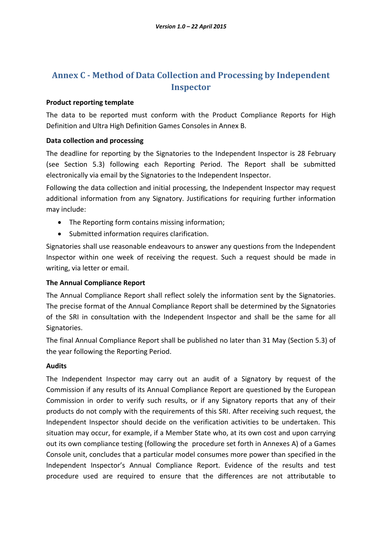# **Annex C - Method of Data Collection and Processing by Independent Inspector**

#### **Product reporting template**

The data to be reported must conform with the Product Compliance Reports for High Definition and Ultra High Definition Games Consoles in Annex B.

## **Data collection and processing**

The deadline for reporting by the Signatories to the Independent Inspector is 28 February (see Section 5.3) following each Reporting Period. The Report shall be submitted electronically via email by the Signatories to the Independent Inspector.

Following the data collection and initial processing, the Independent Inspector may request additional information from any Signatory. Justifications for requiring further information may include:

- The Reporting form contains missing information;
- Submitted information requires clarification.

Signatories shall use reasonable endeavours to answer any questions from the Independent Inspector within one week of receiving the request. Such a request should be made in writing, via letter or email.

## **The Annual Compliance Report**

The Annual Compliance Report shall reflect solely the information sent by the Signatories. The precise format of the Annual Compliance Report shall be determined by the Signatories of the SRI in consultation with the Independent Inspector and shall be the same for all Signatories.

The final Annual Compliance Report shall be published no later than 31 May (Section 5.3) of the year following the Reporting Period.

## **Audits**

The Independent Inspector may carry out an audit of a Signatory by request of the Commission if any results of its Annual Compliance Report are questioned by the European Commission in order to verify such results, or if any Signatory reports that any of their products do not comply with the requirements of this SRI. After receiving such request, the Independent Inspector should decide on the verification activities to be undertaken. This situation may occur, for example, if a Member State who, at its own cost and upon carrying out its own compliance testing (following the procedure set forth in Annexes A) of a Games Console unit, concludes that a particular model consumes more power than specified in the Independent Inspector's Annual Compliance Report. Evidence of the results and test procedure used are required to ensure that the differences are not attributable to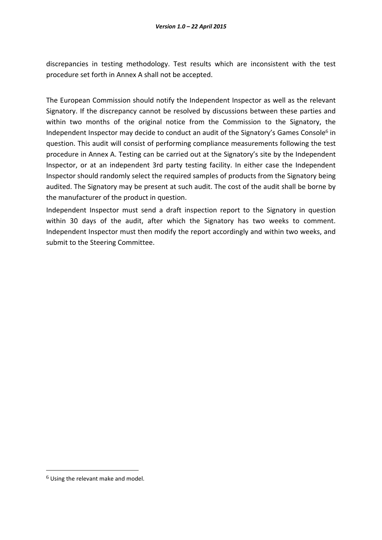discrepancies in testing methodology. Test results which are inconsistent with the test procedure set forth in Annex A shall not be accepted.

The European Commission should notify the Independent Inspector as well as the relevant Signatory. If the discrepancy cannot be resolved by discussions between these parties and within two months of the original notice from the Commission to the Signatory, the Independent Inspector may decide to conduct an audit of the Signatory's Games Console<sup>6</sup> in question. This audit will consist of performing compliance measurements following the test procedure in Annex A. Testing can be carried out at the Signatory's site by the Independent Inspector, or at an independent 3rd party testing facility. In either case the Independent Inspector should randomly select the required samples of products from the Signatory being audited. The Signatory may be present at such audit. The cost of the audit shall be borne by the manufacturer of the product in question.

Independent Inspector must send a draft inspection report to the Signatory in question within 30 days of the audit, after which the Signatory has two weeks to comment. Independent Inspector must then modify the report accordingly and within two weeks, and submit to the Steering Committee.

-

<sup>6</sup> Using the relevant make and model.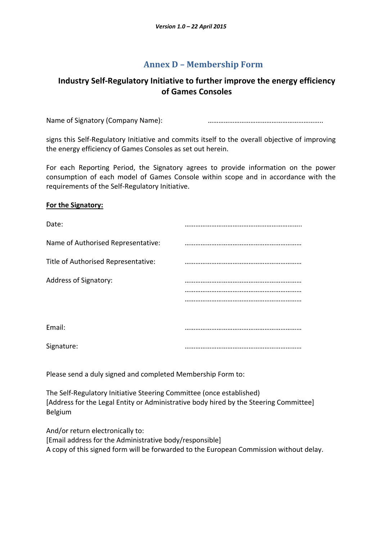# **Annex D – Membership Form**

# **Industry Self-Regulatory Initiative to further improve the energy efficiency of Games Consoles**

Name of Signatory (Company Name): **with all accompany of Signatory** (Company Name):

signs this Self-Regulatory Initiative and commits itself to the overall objective of improving the energy efficiency of Games Consoles as set out herein.

For each Reporting Period, the Signatory agrees to provide information on the power consumption of each model of Games Console within scope and in accordance with the requirements of the Self-Regulatory Initiative.

#### **For the Signatory:**

| Date:                               |  |
|-------------------------------------|--|
| Name of Authorised Representative:  |  |
| Title of Authorised Representative: |  |
| <b>Address of Signatory:</b>        |  |
|                                     |  |
|                                     |  |
|                                     |  |
| Email:                              |  |
| Signature:                          |  |
|                                     |  |

Please send a duly signed and completed Membership Form to:

The Self-Regulatory Initiative Steering Committee (once established) [Address for the Legal Entity or Administrative body hired by the Steering Committee] Belgium

And/or return electronically to: [Email address for the Administrative body/responsible] A copy of this signed form will be forwarded to the European Commission without delay.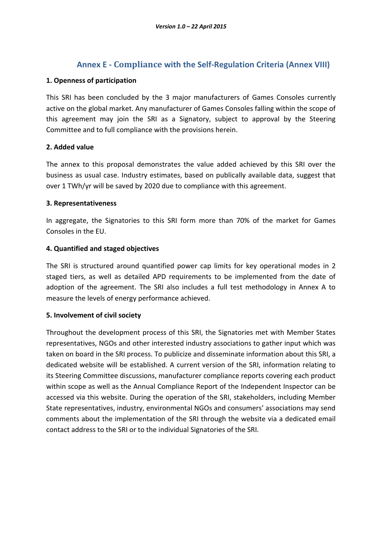# **Annex E - Compliance with the Self-Regulation Criteria (Annex VIII)**

## **1. Openness of participation**

This SRI has been concluded by the 3 major manufacturers of Games Consoles currently active on the global market. Any manufacturer of Games Consoles falling within the scope of this agreement may join the SRI as a Signatory, subject to approval by the Steering Committee and to full compliance with the provisions herein.

#### **2. Added value**

The annex to this proposal demonstrates the value added achieved by this SRI over the business as usual case. Industry estimates, based on publically available data, suggest that over 1 TWh/yr will be saved by 2020 due to compliance with this agreement.

#### **3. Representativeness**

In aggregate, the Signatories to this SRI form more than 70% of the market for Games Consoles in the EU.

#### **4. Quantified and staged objectives**

The SRI is structured around quantified power cap limits for key operational modes in 2 staged tiers, as well as detailed APD requirements to be implemented from the date of adoption of the agreement. The SRI also includes a full test methodology in Annex A to measure the levels of energy performance achieved.

## **5. Involvement of civil society**

Throughout the development process of this SRI, the Signatories met with Member States representatives, NGOs and other interested industry associations to gather input which was taken on board in the SRI process. To publicize and disseminate information about this SRI, a dedicated website will be established. A current version of the SRI, information relating to its Steering Committee discussions, manufacturer compliance reports covering each product within scope as well as the Annual Compliance Report of the Independent Inspector can be accessed via this website. During the operation of the SRI, stakeholders, including Member State representatives, industry, environmental NGOs and consumers' associations may send comments about the implementation of the SRI through the website via a dedicated email contact address to the SRI or to the individual Signatories of the SRI.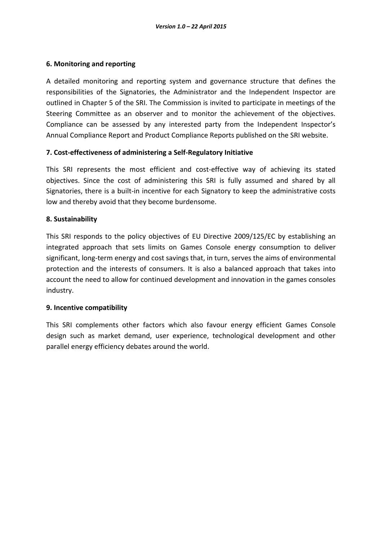#### **6. Monitoring and reporting**

A detailed monitoring and reporting system and governance structure that defines the responsibilities of the Signatories, the Administrator and the Independent Inspector are outlined in Chapter 5 of the SRI. The Commission is invited to participate in meetings of the Steering Committee as an observer and to monitor the achievement of the objectives. Compliance can be assessed by any interested party from the Independent Inspector's Annual Compliance Report and Product Compliance Reports published on the SRI website.

#### **7. Cost-effectiveness of administering a Self-Regulatory Initiative**

This SRI represents the most efficient and cost-effective way of achieving its stated objectives. Since the cost of administering this SRI is fully assumed and shared by all Signatories, there is a built-in incentive for each Signatory to keep the administrative costs low and thereby avoid that they become burdensome.

#### **8. Sustainability**

This SRI responds to the policy objectives of EU Directive 2009/125/EC by establishing an integrated approach that sets limits on Games Console energy consumption to deliver significant, long-term energy and cost savings that, in turn, serves the aims of environmental protection and the interests of consumers. It is also a balanced approach that takes into account the need to allow for continued development and innovation in the games consoles industry.

#### **9. Incentive compatibility**

This SRI complements other factors which also favour energy efficient Games Console design such as market demand, user experience, technological development and other parallel energy efficiency debates around the world.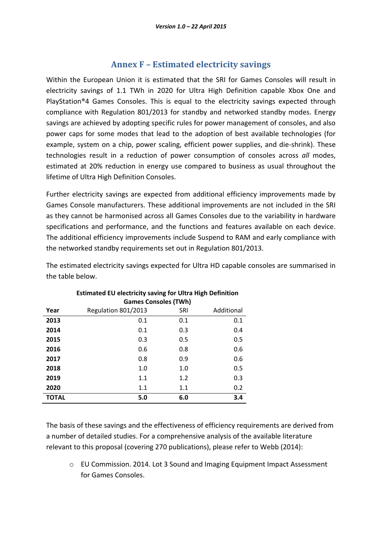# **Annex F – Estimated electricity savings**

Within the European Union it is estimated that the SRI for Games Consoles will result in electricity savings of 1.1 TWh in 2020 for Ultra High Definition capable Xbox One and PlayStation<sup>®</sup>4 Games Consoles. This is equal to the electricity savings expected through compliance with Regulation 801/2013 for standby and networked standby modes. Energy savings are achieved by adopting specific rules for power management of consoles, and also power caps for some modes that lead to the adoption of best available technologies (for example, system on a chip, power scaling, efficient power supplies, and die-shrink). These technologies result in a reduction of power consumption of consoles across *all* modes, estimated at 20% reduction in energy use compared to business as usual throughout the lifetime of Ultra High Definition Consoles.

Further electricity savings are expected from additional efficiency improvements made by Games Console manufacturers. These additional improvements are not included in the SRI as they cannot be harmonised across all Games Consoles due to the variability in hardware specifications and performance, and the functions and features available on each device. The additional efficiency improvements include Suspend to RAM and early compliance with the networked standby requirements set out in Regulation 801/2013.

The estimated electricity savings expected for Ultra HD capable consoles are summarised in the table below.

|              | <b>Games Consoles (TWh)</b> |     |            |
|--------------|-----------------------------|-----|------------|
| Year         | Regulation 801/2013         | SRI | Additional |
| 2013         | 0.1                         | 0.1 | 0.1        |
| 2014         | 0.1                         | 0.3 | 0.4        |
| 2015         | 0.3                         | 0.5 | 0.5        |
| 2016         | 0.6                         | 0.8 | 0.6        |
| 2017         | 0.8                         | 0.9 | 0.6        |
| 2018         | 1.0                         | 1.0 | 0.5        |
| 2019         | 1.1                         | 1.2 | 0.3        |
| 2020         | 1.1                         | 1.1 | 0.2        |
| <b>TOTAL</b> | 5.0                         | 6.0 | 3.4        |

**Estimated EU electricity saving for Ultra High Definition**

The basis of these savings and the effectiveness of efficiency requirements are derived from a number of detailed studies. For a comprehensive analysis of the available literature relevant to this proposal (covering 270 publications), please refer to Webb (2014):

o EU Commission. 2014. Lot 3 Sound and Imaging Equipment Impact Assessment for Games Consoles.